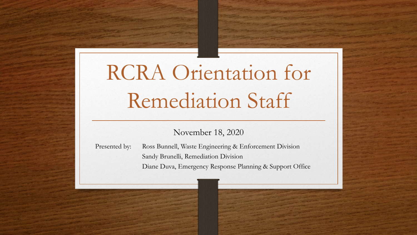# RCRA Orientation for Remediation Staff

#### November 18, 2020

Presented by: Ross Bunnell, Waste Engineering & Enforcement Division Sandy Brunelli, Remediation Division Diane Duva, Emergency Response Planning & Support Office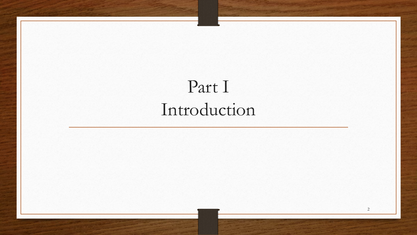## Part I Introduction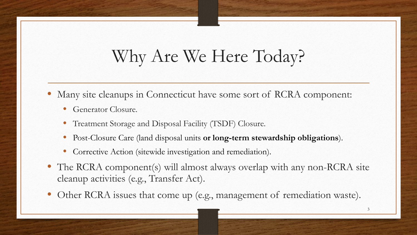### Why Are We Here Today?

- Many site cleanups in Connecticut have some sort of RCRA component:
	- Generator Closure.
	- Treatment Storage and Disposal Facility (TSDF) Closure.
	- Post-Closure Care (land disposal units **or long-term stewardship obligations**).
	- Corrective Action (sitewide investigation and remediation).
- The RCRA component(s) will almost always overlap with any non-RCRA site cleanup activities (e.g., Transfer Act).
- Other RCRA issues that come up (e.g., management of remediation waste).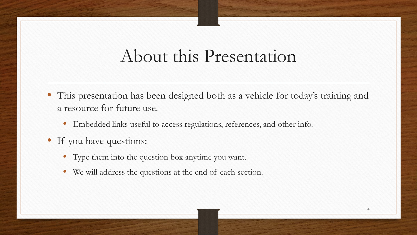#### About this Presentation

- This presentation has been designed both as a vehicle for today's training and a resource for future use.
	- Embedded links useful to access regulations, references, and other info.
- If you have questions:
	- Type them into the question box anytime you want.
	- We will address the questions at the end of each section.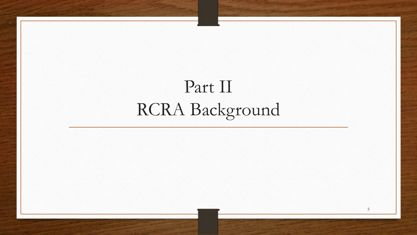## Part II RCRA Background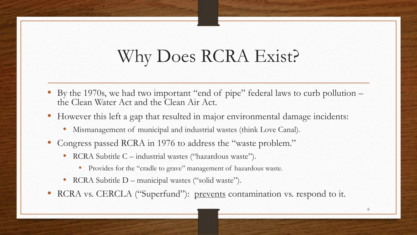### Why Does RCRA Exist?

- By the 1970s, we had two important "end of pipe" federal laws to curb pollution the Clean Water Act and the Clean Air Act.
- However this left a gap that resulted in major environmental damage incidents:
	- Mismanagement of municipal and industrial wastes (think Love Canal).
- Congress passed RCRA in 1976 to address the "waste problem."
	- RCRA Subtitle C industrial wastes ("hazardous waste").
		- Provides for the "cradle to grave" management of hazardous waste.
	- RCRA Subtitle D municipal wastes ("solid waste").
- RCRA vs. CERCLA ("Superfund"): prevents contamination vs. respond to it.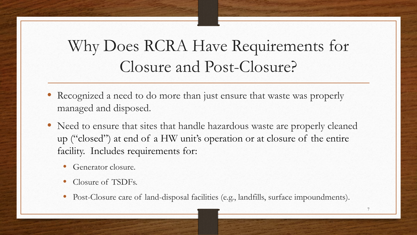#### Why Does RCRA Have Requirements for Closure and Post-Closure?

- Recognized a need to do more than just ensure that waste was properly managed and disposed.
- Need to ensure that sites that handle hazardous waste are properly cleaned up ("closed") at end of a HW unit's operation or at closure of the entire facility. Includes requirements for:
	- Generator closure.
	- Closure of TSDFs.
	- Post-Closure care of land-disposal facilities (e.g., landfills, surface impoundments).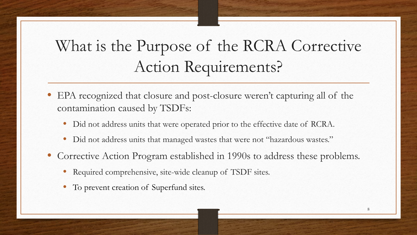#### What is the Purpose of the RCRA Corrective Action Requirements?

- EPA recognized that closure and post-closure weren't capturing all of the contamination caused by TSDFs:
	- Did not address units that were operated prior to the effective date of RCRA.
	- Did not address units that managed wastes that were not "hazardous wastes."
- Corrective Action Program established in 1990s to address these problems.
	- Required comprehensive, site-wide cleanup of TSDF sites.
	- To prevent creation of Superfund sites.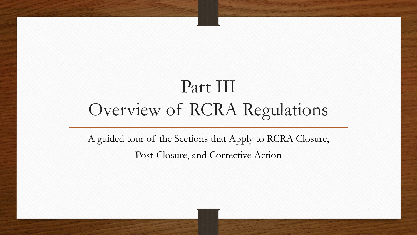## Part III Overview of RCRA Regulations

A guided tour of the Sections that Apply to RCRA Closure, Post-Closure, and Corrective Action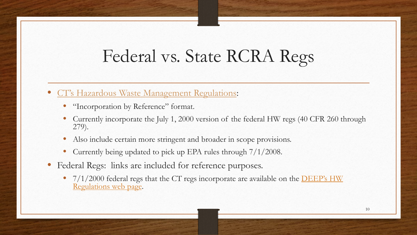#### Federal vs. State RCRA Regs

- [CT's Hazardous Waste Management Regulations:](https://eregulations.ct.gov/eRegsPortal/Browse/getDocument?guid=%7b70ECA85D-0000-CBC9-8E1E-D739FA383ED8%7d)
	- "Incorporation by Reference" format.
	- Currently incorporate the July 1, 2000 version of the federal HW regs (40 CFR 260 through 279).
	- Also include certain more stringent and broader in scope provisions.
	- Currently being updated to pick up EPA rules through 7/1/2008.
- Federal Regs: links are included for reference purposes.
	- $17/1/2000$  federal regs that the CT regs incorporate are available on the **DEEP's HW** Regulations web page.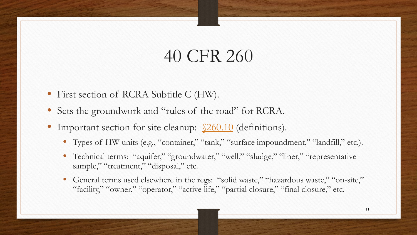- First section of RCRA Subtitle C (HW).
- Sets the groundwork and "rules of the road" for RCRA.
- Important section for site cleanup:  $\sqrt{260.10}$  (definitions).
	- Types of HW units (e.g., "container," "tank," "surface impoundment," "landfill," etc.).
	- Technical terms: "aquifer," "groundwater," "well," "sludge," "liner," "representative sample," "treatment," "disposal," etc.
	- General terms used elsewhere in the regs: "solid waste," "hazardous waste," "on-site," "facility," "owner," "operator," "active life," "partial closure," "final closure," etc.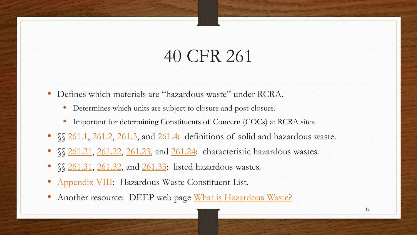- Defines which materials are "hazardous waste" under RCRA.
	- Determines which units are subject to closure and post-closure.
	- Important for determining Constituents of Concern (COCs) at RCRA sites.
- SS [261.1](https://www.govinfo.gov/content/pkg/CFR-2000-title40-vol18/xml/CFR-2000-title40-vol18-sec261-1.xml), [261.2,](https://www.govinfo.gov/content/pkg/CFR-2000-title40-vol18/xml/CFR-2000-title40-vol18-sec261-2.xml) [261.3,](https://www.govinfo.gov/content/pkg/CFR-2000-title40-vol18/xml/CFR-2000-title40-vol18-sec261-3.xml) and [261.4](https://www.govinfo.gov/content/pkg/CFR-2000-title40-vol18/xml/CFR-2000-title40-vol18-sec261-4.xml): definitions of solid and hazardous waste.
- §§ [261.21,](https://www.govinfo.gov/content/pkg/CFR-2000-title40-vol18/xml/CFR-2000-title40-vol18-sec261-21.xml) [261.22,](https://www.govinfo.gov/content/pkg/CFR-2000-title40-vol18/xml/CFR-2000-title40-vol18-sec261-22.xml) [261.23,](https://www.govinfo.gov/content/pkg/CFR-2000-title40-vol18/xml/CFR-2000-title40-vol18-sec261-23.xml) and [261.24:](https://www.govinfo.gov/content/pkg/CFR-2000-title40-vol18/xml/CFR-2000-title40-vol18-sec261-24.xml) characteristic hazardous wastes.
- §§ [261.31,](https://www.ecfr.gov/cgi-bin/text-idx?SID=1986a990f9c57fb9ac8542f456e0865d&mc=true&node=pt40.28.261&rgn=div5#se40.28.261_131) [261.32,](https://www.ecfr.gov/cgi-bin/text-idx?SID=1986a990f9c57fb9ac8542f456e0865d&mc=true&node=pt40.28.261&rgn=div5#se40.28.261_132) and [261.33:](https://www.ecfr.gov/cgi-bin/text-idx?SID=1986a990f9c57fb9ac8542f456e0865d&mc=true&node=pt40.28.261&rgn=div5#se40.28.261_133) listed hazardous wastes.
- [Appendix VIII:](https://www.ecfr.gov/cgi-bin/text-idx?SID=1986a990f9c57fb9ac8542f456e0865d&mc=true&node=pt40.28.261&rgn=div5#ap40.28.261_11090.viii) Hazardous Waste Constituent List.
- Another resource: DEEP web page [What is Hazardous Waste?](https://portal.ct.gov/DEEP/Waste-Management-and-Disposal/Hazardous-Waste/What-is-Hazardous-Waste)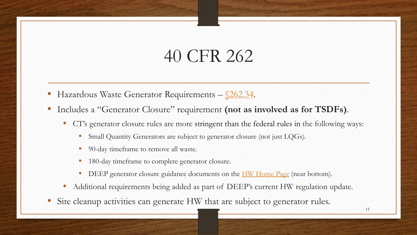- Hazardous Waste Generator Requirements [§262.34.](https://www.govinfo.gov/content/pkg/CFR-2000-title40-vol18/xml/CFR-2000-title40-vol18-sec262-34.xml)
- Includes a "Generator Closure" requirement **(not as involved as for TSDFs)**.
	- CT's generator closure rules are more stringent than the federal rules in the following ways:
		- Small Quantity Generators are subject to generator closure (not just LQGs).
		- 90-day timeframe to remove all waste.
		- 180-day timeframe to complete generator closure.
		- DEEP generator closure guidance documents on the <u>[HW Home Page](https://portal.ct.gov/DEEP/Waste-Management-and-Disposal/Hazardous-Waste/Hazardous-Waste-Home)</u> (near bottom).
	- Additional requirements being added as part of DEEP's current HW regulation update.
- Site cleanup activities can generate HW that are subject to generator rules.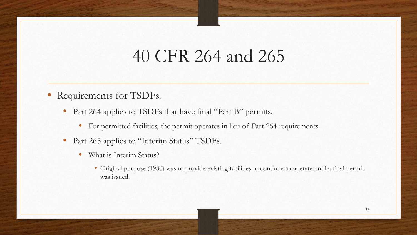#### 40 CFR 264 and 265

- Requirements for TSDFs.
	- Part 264 applies to TSDFs that have final "Part B" permits.
		- For permitted facilities, the permit operates in lieu of Part 264 requirements.
	- Part 265 applies to "Interim Status" TSDFs.
		- What is Interim Status?
			- Original purpose (1980) was to provide existing facilities to continue to operate until a final permit was issued.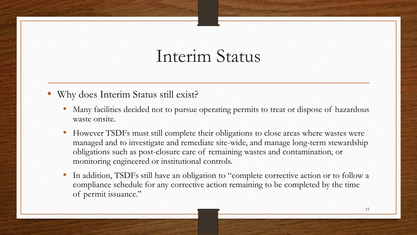#### Interim Status

- Why does Interim Status still exist?
	- Many facilities decided not to pursue operating permits to treat or dispose of hazardous waste onsite.
	- However TSDFs must still complete their obligations to close areas where wastes were managed and to investigate and remediate site-wide, and manage long-term stewardship obligations such as post-closure care of remaining wastes and contamination, or monitoring engineered or institutional controls.
	- In addition, TSDFs still have an obligation to "complete corrective action or to follow a compliance schedule for any corrective action remaining to be completed by the time of permit issuance."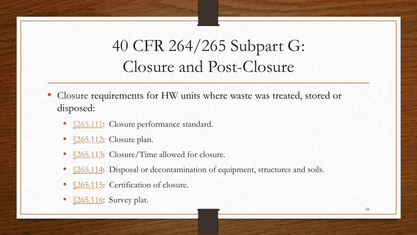#### 40 CFR 264/265 Subpart G: Closure and Post-Closure

- Closure requirements for HW units where waste was treated, stored or disposed:
	- <u>§265.111</u>: Closure performance standard.
	- <u>§265.112</u>: Closure plan.
	- <u>§265.113</u>: Closure/Time allowed for closure.
	- <u>§265.114</u>: Disposal or decontamination of equipment, structures and soils.
	- [§265.115:](https://www.govinfo.gov/content/pkg/CFR-2000-title40-vol18/xml/CFR-2000-title40-vol18-sec265-115.xml) Certification of closure.
	- \$265.116: Survey plat.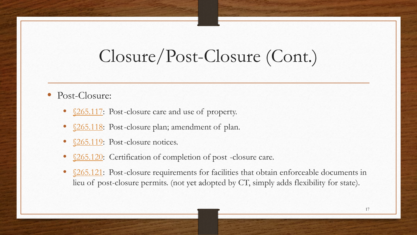#### Closure/Post-Closure (Cont.)

- Post-Closure:
	- <u>§265.117</u>: Post-closure care and use of property.
	- <u>§265.118</u>: Post-closure plan; amendment of plan.
	- § 265.119: Post-closure notices.
	- \$265.120: Certification of completion of post-closure care.
	- [§265.121:](https://www.govinfo.gov/content/pkg/CFR-2000-title40-vol18/xml/CFR-2000-title40-vol18-sec265-121.xml) Post-closure requirements for facilities that obtain enforceable documents in lieu of post-closure permits. (not yet adopted by CT, simply adds flexibility for state).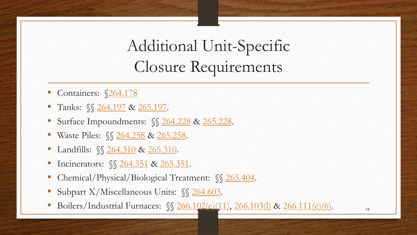### Additional Unit-Specific Closure Requirements

- Containers: §[264.178](https://www.govinfo.gov/content/pkg/CFR-2000-title40-vol18/xml/CFR-2000-title40-vol18-sec264-178.xml)
- Tanks: §§ [264.197](https://www.govinfo.gov/content/pkg/CFR-2000-title40-vol18/xml/CFR-2000-title40-vol18-sec264-197.xml) & [265.197.](https://www.govinfo.gov/content/pkg/CFR-2000-title40-vol18/xml/CFR-2000-title40-vol18-sec265-197.xml)
- Surface Impoundments: §§ [264.228](https://www.govinfo.gov/content/pkg/CFR-2000-title40-vol18/xml/CFR-2000-title40-vol18-sec264-228.xml) & [265.228](https://www.govinfo.gov/content/pkg/CFR-2000-title40-vol18/xml/CFR-2000-title40-vol18-sec265-228.xml).
- Waste Piles: *§§* [264.258](https://www.govinfo.gov/content/pkg/CFR-2000-title40-vol18/xml/CFR-2000-title40-vol18-sec264-258.xml) & [265.258](https://www.govinfo.gov/content/pkg/CFR-2000-title40-vol18/xml/CFR-2000-title40-vol18-sec265-258.xml).
- Landfills:  $\sqrt{\frac{264.310}{x}}$  $\sqrt{\frac{264.310}{x}}$  $\sqrt{\frac{264.310}{x}}$  & [265.310.](https://www.govinfo.gov/content/pkg/CFR-2000-title40-vol18/xml/CFR-2000-title40-vol18-sec265-310.xml)
- Incinerators:  $\sqrt{264.351}$  $\sqrt{264.351}$  $\sqrt{264.351}$  & [265.351.](https://www.govinfo.gov/content/pkg/CFR-2000-title40-vol18/xml/CFR-2000-title40-vol18-sec265-351.xml)
- Chemical/Physical/Biological Treatment:  $\sqrt{\}$  [265.404](https://www.govinfo.gov/content/pkg/CFR-2000-title40-vol18/xml/CFR-2000-title40-vol18-sec265-404.xml).
- Subpart X/Miscellaneous Units: §§ [264.603](https://www.govinfo.gov/content/pkg/CFR-2000-title40-vol18/xml/CFR-2000-title40-vol18-sec264-603.xml).
- Boilers/Industrial Furnaces:  $\sqrt{266.102(e)(11)}, 266.103(l)$  $\sqrt{266.102(e)(11)}, 266.103(l)$  & [266.111\(e\)\(6\).](https://www.govinfo.gov/content/pkg/CFR-2000-title40-vol19/pdf/CFR-2000-title40-vol19-sec266-111.pdf)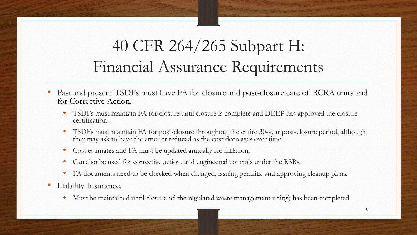#### 40 CFR 264/265 Subpart H: Financial Assurance Requirements

- Past and present TSDFs must have FA for closure and post-closure care of RCRA units and for Corrective Action.
	- TSDFs must maintain FA for closure until closure is complete and DEEP has approved the closure certification.
	- TSDFs must maintain FA for post-closure throughout the entire 30-year post-closure period, although they may ask to have the amount reduced as the cost decreases over time.
	- Cost estimates and FA must be updated annually for inflation.
	- Can also be used for corrective action, and engineered controls under the RSRs.
	- FA documents need to be checked when changed, issuing permits, and approving cleanup plans.
- Liability Insurance.
	- Must be maintained until closure of the regulated waste management unit(s) has been completed.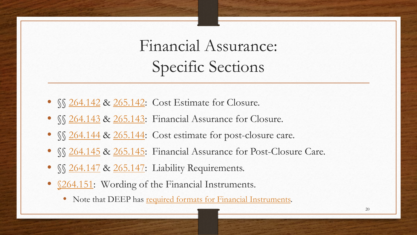Financial Assurance: Specific Sections

- *SS [264.142](https://www.govinfo.gov/content/pkg/CFR-2000-title40-vol18/xml/CFR-2000-title40-vol18-sec264-142.xml) & 265.142*: Cost Estimate for Closure.
- SS [264.143](https://www.govinfo.gov/content/pkg/CFR-2000-title40-vol18/xml/CFR-2000-title40-vol18-sec264-143.xml) & [265.143:](https://www.govinfo.gov/content/pkg/CFR-2000-title40-vol18/xml/CFR-2000-title40-vol18-sec264-143.xml) Financial Assurance for Closure.
- SS [264.144](https://www.govinfo.gov/content/pkg/CFR-2000-title40-vol18/xml/CFR-2000-title40-vol18-sec264-144.xml) & [265.144:](https://www.govinfo.gov/content/pkg/CFR-2000-title40-vol18/xml/CFR-2000-title40-vol18-sec265-144.xml) Cost estimate for post-closure care.
- SS [264.145](https://www.govinfo.gov/content/pkg/CFR-2000-title40-vol18/xml/CFR-2000-title40-vol18-sec264-145.xml) & [265.145:](https://www.govinfo.gov/content/pkg/CFR-2000-title40-vol18/xml/CFR-2000-title40-vol18-sec265-145.xml) Financial Assurance for Post-Closure Care.
- SS [264.147](https://www.govinfo.gov/content/pkg/CFR-2000-title40-vol18/xml/CFR-2000-title40-vol18-sec264-147.xml) & [265.147:](https://www.govinfo.gov/content/pkg/CFR-2000-title40-vol18/xml/CFR-2000-title40-vol18-sec265-147.xml) Liability Requirements.
- <u>§264.151</u>: Wording of the Financial Instruments.
	- Note that DEEP has [required formats for Financial Instruments](https://portal.ct.gov/DEEP/Waste-Management-and-Disposal/Hazardous-Waste/Financial-Assurance).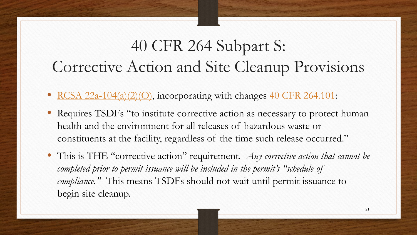#### 40 CFR 264 Subpart S: Corrective Action and Site Cleanup Provisions

- [RCSA 22a-104\(a\)\(2\)\(O\),](https://eregulations.ct.gov/eRegsPortal/Browse/RCSA/Title_22aSubtitle_22a-449cSection_22a-449c-104/) incorporating with changes [40 CFR 264.101:](https://www.govinfo.gov/content/pkg/CFR-2000-title40-vol18/xml/CFR-2000-title40-vol18-sec264-101.xml)
- Requires TSDFs "to institute corrective action as necessary to protect human health and the environment for all releases of hazardous waste or constituents at the facility, regardless of the time such release occurred."
- This is THE "corrective action" requirement. *Any corrective action that cannot be*  completed prior to permit issuance will be included in the permit's "schedule of *compliance."* This means TSDFs should not wait until permit issuance to begin site cleanup.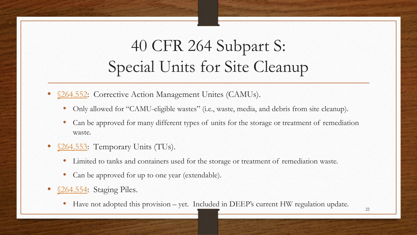#### 40 CFR 264 Subpart S: Special Units for Site Cleanup

[§264.552:](https://www.govinfo.gov/content/pkg/CFR-2000-title40-vol18/xml/CFR-2000-title40-vol18-sec264-552.xml) Corrective Action Management Unites (CAMUs).

- Only allowed for "CAMU-eligible wastes" (i.e., waste, media, and debris from site cleanup).
- Can be approved for many different types of units for the storage or treatment of remediation waste.
- [§264.553:](https://www.govinfo.gov/content/pkg/CFR-2000-title40-vol18/xml/CFR-2000-title40-vol18-sec264-553.xml) Temporary Units (TUs).
	- Limited to tanks and containers used for the storage or treatment of remediation waste.
	- Can be approved for up to one year (extendable).
- [§264.554:](https://www.govinfo.gov/content/pkg/CFR-2000-title40-vol18/xml/CFR-2000-title40-vol18-sec264-554.xml) Staging Piles.
	- Have not adopted this provision yet. Included in DEEP's current HW regulation update.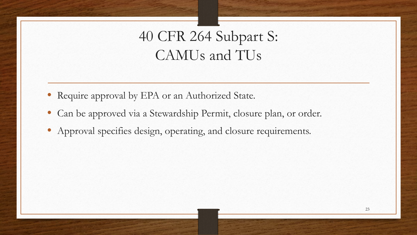#### 40 CFR 264 Subpart S: CAMUs and TUs

- Require approval by EPA or an Authorized State.
- Can be approved via a Stewardship Permit, closure plan, or order.
- Approval specifies design, operating, and closure requirements.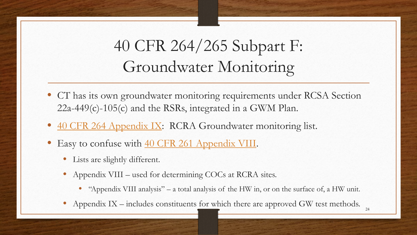### 40 CFR 264/265 Subpart F: Groundwater Monitoring

- CT has its own groundwater monitoring requirements under RCSA Section 22a-449(c)-105(c) and the RSRs, integrated in a GWM Plan.
- [40 CFR 264 Appendix IX:](https://www.ecfr.gov/cgi-bin/text-idx?SID=1986a990f9c57fb9ac8542f456e0865d&mc=true&node=pt40.28.264&rgn=div5#ap40.28.264_11316.ix) RCRA Groundwater monitoring list.
- Easy to confuse with [40 CFR 261 Appendix VIII](https://www.ecfr.gov/cgi-bin/text-idx?SID=1986a990f9c57fb9ac8542f456e0865d&mc=true&node=pt40.28.261&rgn=div5#ap40.28.261_11090.viii).
	- Lists are slightly different.
	- Appendix VIII used for determining COCs at RCRA sites.
		- "Appendix VIII analysis" a total analysis of the HW in, or on the surface of, a HW unit.
	- Appendix IX includes constituents for which there are approved GW test methods.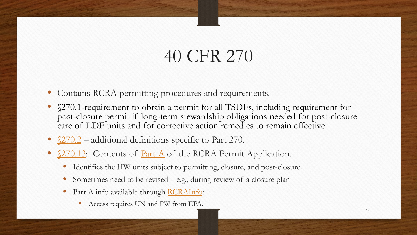- Contains RCRA permitting procedures and requirements.
- §270.1-requirement to obtain a permit for all TSDFs, including requirement for post-closure permit if long-term stewardship obligations needed for post-closure care of LDF units and for corrective action remedies to remain effective.
- $\S270.2$  additional definitions specific to Part 270.
- [§270.13:](https://www.govinfo.gov/content/pkg/CFR-2000-title40-vol19/pdf/CFR-2000-title40-vol19-sec270-13.pdf) Contents of <u>[Part A](https://www.epa.gov/hwpermitting/resource-conservation-and-recovery-act-hazardous-waste-part-permit-application-form)</u> of the RCRA Permit Application.
	- Identifies the HW units subject to permitting, closure, and post-closure.
	- Sometimes need to be revised e.g., during review of a closure plan.
	- Part A info available through [RCRAInfo](https://rcrainfo.epa.gov/rcrainfoprod/action/secured/login):
		- Access requires UN and PW from EPA.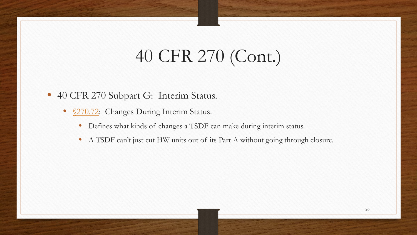## 40 CFR 270 (Cont.)

- 40 CFR 270 Subpart G: Interim Status.
	- <u>§270.72</u>: Changes During Interim Status.
		- Defines what kinds of changes a TSDF can make during interim status.
		- A TSDF can't just cut HW units out of its Part A without going through closure.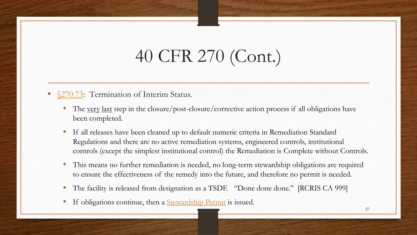## 40 CFR 270 (Cont.)

#### 270.73: Termination of Interim Status.

- The <u>very last</u> step in the closure/post-closure/corrective action process if all obligations have been completed.
- If all releases have been cleaned up to default numeric criteria in Remediation Standard Regulations and there are no active remediation systems, engineered controls, institutional controls (except the simplest institutional control) the Remediation is Complete without Controls.
- This means no further remediation is needed, no long-term stewardship obligations are required to ensure the effectiveness of the remedy into the future, and therefore no permit is needed.
- The facility is released from designation as a TSDF. "Done done done." [RCRIS CA 999]
- If obligations continue, then a **[Stewardship Permit](https://portal.ct.gov/DEEP/Waste-Management-and-Disposal/Stewardship-Permits/Stewardship-Permit-Info)** is issued.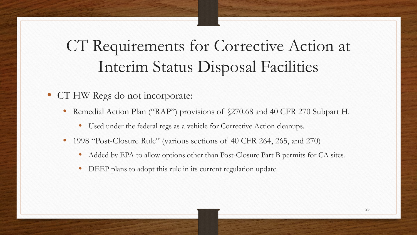#### CT Requirements for Corrective Action at Interim Status Disposal Facilities

- CT HW Regs do not incorporate:
	- Remedial Action Plan ("RAP") provisions of  $\S270.68$  and 40 CFR 270 Subpart H.
		- Used under the federal regs as a vehicle for Corrective Action cleanups.
	- 1998 "Post-Closure Rule" (various sections of 40 CFR 264, 265, and 270)
		- Added by EPA to allow options other than Post-Closure Part B permits for CA sites.
		- DEEP plans to adopt this rule in its current regulation update.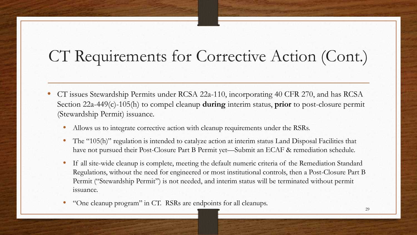#### CT Requirements for Corrective Action (Cont.)

- CT issues Stewardship Permits under RCSA 22a-110, incorporating 40 CFR 270, and has RCSA Section 22a-449(c)-105(h) to compel cleanup **during** interim status, **prior** to post-closure permit (Stewardship Permit) issuance.
	- Allows us to integrate corrective action with cleanup requirements under the RSRs.
	- The "105(h)" regulation is intended to catalyze action at interim status Land Disposal Facilities that have not pursued their Post-Closure Part B Permit yet—Submit an ECAF & remediation schedule.
	- If all site-wide cleanup is complete, meeting the default numeric criteria of the Remediation Standard Regulations, without the need for engineered or most institutional controls, then a Post-Closure Part B Permit ("Stewardship Permit") is not needed, and interim status will be terminated without permit issuance.
	- "One cleanup program" in CT. RSRs are endpoints for all cleanups.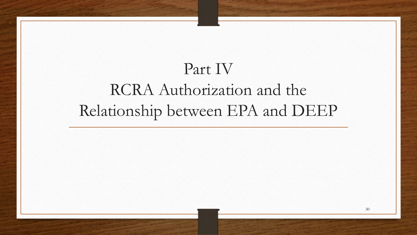## Part IV RCRA Authorization and the Relationship between EPA and DEEP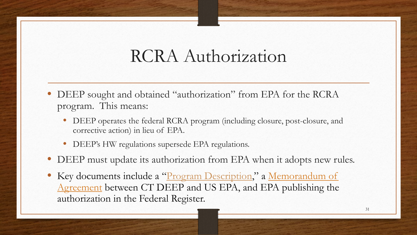#### RCRA Authorization

- DEEP sought and obtained "authorization" from EPA for the RCRA program. This means:
	- DEEP operates the federal RCRA program (including closure, post-closure, and corrective action) in lieu of EPA.
	- DEEP's HW regulations supersede EPA regulations.
- DEEP must update its authorization from EPA when it adopts new rules.
- Key documents include a "Program Description," a Memorandum of Agreement between CT DEEP and US EPA, and EPA publishing the authorization in the Federal Register.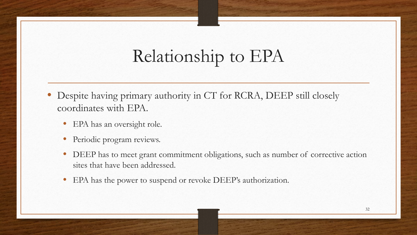## Relationship to EPA

- Despite having primary authority in CT for RCRA, DEEP still closely coordinates with EPA.
	- EPA has an oversight role.
	- Periodic program reviews.
	- DEEP has to meet grant commitment obligations, such as number of corrective action sites that have been addressed.
	- EPA has the power to suspend or revoke DEEP's authorization.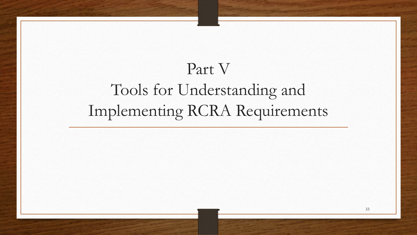## Part V Tools for Understanding and Implementing RCRA Requirements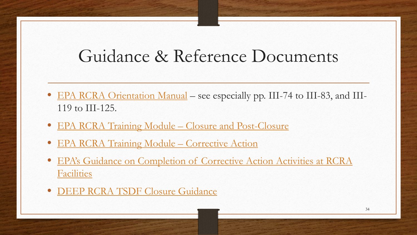#### Guidance & Reference Documents

- [EPA RCRA Orientation Manual](https://www.epa.gov/sites/production/files/2015-07/documents/rom.pdf) see especially pp. III-74 to III-83, and III-119 to III-125.
- [EPA RCRA Training Module Closure and Post-Closure](https://www.epa.gov/sites/production/files/2015-07/documents/close05.pdf)
- [EPA RCRA Training Module –](https://www.epa.gov/sites/production/files/2015-09/documents/cact.pdf) Corrective Action
- [EPA's Guidance on Completion of Corrective Action Activities at RCRA](https://www.govinfo.gov/content/pkg/FR-2003-02-25/pdf/03-4380.pdf)  **Facilities**
- [DEEP RCRA TSDF Closure Guidance](https://portal.ct.gov/-/media/DEEP/waste_management_and_disposal/remediation_waste/RCRAClosurePlanGuidancepdf.pdf)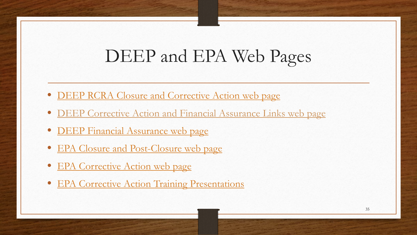#### DEEP and EPA Web Pages

- [DEEP RCRA Closure and Corrective Action web page](https://portal.ct.gov/DEEP/Remediation--Site-Clean-Up/RCRA-Closure-and-Corrective-Action/RCRA-Closure-and-Corrective-Action)
- [DEEP Corrective Action and Financial Assurance Links web page](https://portal.ct.gov/DEEP/Waste-Management-and-Disposal/Remediation-Waste/Corrective-Action-and-Financial-Assurance)
- [DEEP Financial Assurance web page](https://portal.ct.gov/DEEP/Waste-Management-and-Disposal/Hazardous-Waste/Financial-Assurance)
- [EPA Closure and Post-Closure web page](https://www.epa.gov/hwpermitting/closure-and-post-closure-care-requirements-hazardous-waste-treatment-storage-and)
- [EPA Corrective Action web page](https://www.epa.gov/hw/learn-about-corrective-action)
- [EPA Corrective Action Training Presentations](https://www.epa.gov/hw/resource-conservation-and-recovery-act-rcra-corrective-action-training-strategies-meeting-2020)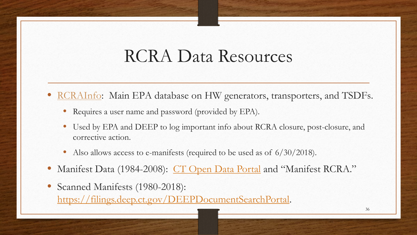#### RCRA Data Resources

- [RCRAInfo:](https://rcrainfo.epa.gov/) Main EPA database on HW generators, transporters, and TSDFs.
	- Requires a user name and password (provided by EPA).
	- Used by EPA and DEEP to log important info about RCRA closure, post-closure, and corrective action.
	- Also allows access to e-manifests (required to be used as of  $6/30/2018$ ).
- Manifest Data (1984-2008): [CT Open Data Portal](https://data.ct.gov/Environment-and-Natural-Resources/Hazardous-Waste-Manifest-Data-CT-1984-2008/h6d8-qiar/data) and "Manifest RCRA."
- Scanned Manifests (1980-2018): <https://filings.deep.ct.gov/DEEPDocumentSearchPortal>.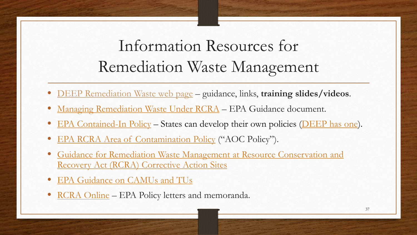#### Information Resources for Remediation Waste Management

- [DEEP Remediation Waste web page](https://portal.ct.gov/DEEP/Waste-Management-and-Disposal/Remediation-Waste/Remediation-Waste) guidance, links, **training slides/videos**.
- [Managing Remediation Waste Under RCRA](https://www.epa.gov/enforcement/guidance-managing-remediation-wastes-under-rcra) EPA Guidance document.
- [EPA Contained-In Policy](https://www.epa.gov/hw/contained-policy-soil-and-debris-contaminated-hazardous-waste) States can develop their own policies ([DEEP has one\)](https://portal.ct.gov/DEEP/Waste-Management-and-Disposal/Remediation-Waste/RCRA-Contained-In-Policy).
- [EPA RCRA Area of Contamination Policy](https://www.epa.gov/hw/resource-conservation-and-recovery-act-rcra-area-contamination-policy) ("AOC Policy").
- [Guidance for Remediation Waste Management at Resource Conservation and](https://www.epa.gov/hw/guidance-remediation-waste-management-resource-conservation-and-recovery-act-rcra-corrective) Recovery Act (RCRA) Corrective Action Sites
- **[EPA Guidance on CAMUs and TUs](https://www.epa.gov/hw/documents-related-corrective-action-management-units-camus-and-corrective-action-temporary-units)**
- [RCRA Online](https://rcrapublic.epa.gov/rcraonline/) EPA Policy letters and memoranda.